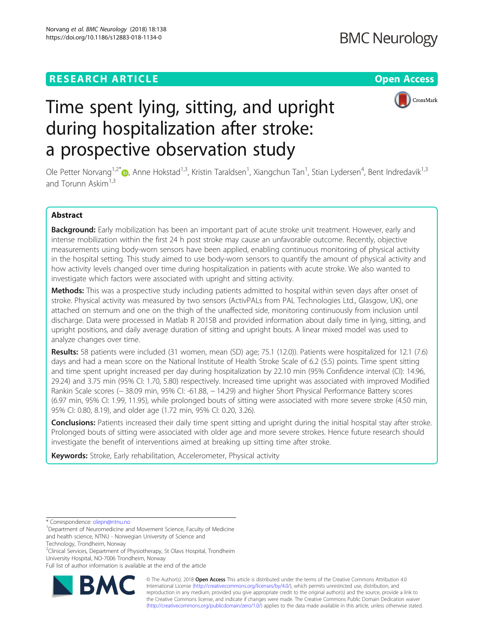## **RESEARCH ARTICLE Example 2014 12:30 The Contract of Contract ACCESS**



# Time spent lying, sitting, and upright during hospitalization after stroke: a prospective observation study

Ole Petter Norvang<sup>1,2[\\*](http://orcid.org/0000-0001-9768-7993)</sup>®, Anne Hokstad<sup>1,3</sup>, Kristin Taraldsen<sup>1</sup>, Xiangchun Tan<sup>1</sup>, Stian Lydersen<sup>4</sup>, Bent Indredavik<sup>1,3</sup> and Torunn Askim $1,3$ 

## Abstract

Background: Early mobilization has been an important part of acute stroke unit treatment. However, early and intense mobilization within the first 24 h post stroke may cause an unfavorable outcome. Recently, objective measurements using body-worn sensors have been applied, enabling continuous monitoring of physical activity in the hospital setting. This study aimed to use body-worn sensors to quantify the amount of physical activity and how activity levels changed over time during hospitalization in patients with acute stroke. We also wanted to investigate which factors were associated with upright and sitting activity.

Methods: This was a prospective study including patients admitted to hospital within seven days after onset of stroke. Physical activity was measured by two sensors (ActivPALs from PAL Technologies Ltd., Glasgow, UK), one attached on sternum and one on the thigh of the unaffected side, monitoring continuously from inclusion until discharge. Data were processed in Matlab R 2015B and provided information about daily time in lying, sitting, and upright positions, and daily average duration of sitting and upright bouts. A linear mixed model was used to analyze changes over time.

Results: 58 patients were included (31 women, mean (SD) age; 75.1 (12.0)). Patients were hospitalized for 12.1 (7.6) days and had a mean score on the National Institute of Health Stroke Scale of 6.2 (5.5) points. Time spent sitting and time spent upright increased per day during hospitalization by 22.10 min (95% Confidence interval (CI): 14.96, 29.24) and 3.75 min (95% CI: 1.70, 5.80) respectively. Increased time upright was associated with improved Modified Rankin Scale scores (− 38.09 min, 95% CI: -61.88, − 14.29) and higher Short Physical Performance Battery scores (6.97 min, 95% CI: 1.99, 11.95), while prolonged bouts of sitting were associated with more severe stroke (4.50 min, 95% CI: 0.80, 8.19), and older age (1.72 min, 95% CI: 0.20, 3.26).

Conclusions: Patients increased their daily time spent sitting and upright during the initial hospital stay after stroke. Prolonged bouts of sitting were associated with older age and more severe strokes. Hence future research should investigate the benefit of interventions aimed at breaking up sitting time after stroke.

Keywords: Stroke, Early rehabilitation, Accelerometer, Physical activity

\* Correspondence: [olepn@ntnu.no](mailto:olepn@ntnu.no) <sup>1</sup>

<sup>1</sup>Department of Neuromedicine and Movement Science, Faculty of Medicine and health science, NTNU - Norwegian University of Science and

Technology, Trondheim, Norway

<sup>2</sup>Clinical Services, Department of Physiotherapy, St Olavs Hospital, Trondheim University Hospital, NO-7006 Trondheim, Norway

Full list of author information is available at the end of the article



© The Author(s). 2018 Open Access This article is distributed under the terms of the Creative Commons Attribution 4.0 International License [\(http://creativecommons.org/licenses/by/4.0/](http://creativecommons.org/licenses/by/4.0/)), which permits unrestricted use, distribution, and reproduction in any medium, provided you give appropriate credit to the original author(s) and the source, provide a link to the Creative Commons license, and indicate if changes were made. The Creative Commons Public Domain Dedication waiver [\(http://creativecommons.org/publicdomain/zero/1.0/](http://creativecommons.org/publicdomain/zero/1.0/)) applies to the data made available in this article, unless otherwise stated.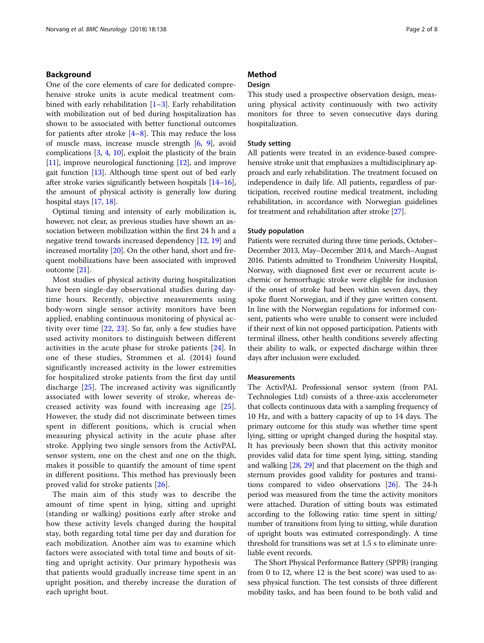## Background

One of the core elements of care for dedicated comprehensive stroke units is acute medical treatment combined with early rehabilitation  $[1-3]$  $[1-3]$  $[1-3]$  $[1-3]$  $[1-3]$ . Early rehabilitation with mobilization out of bed during hospitalization has shown to be associated with better functional outcomes for patients after stroke  $[4-8]$  $[4-8]$  $[4-8]$  $[4-8]$ . This may reduce the loss of muscle mass, increase muscle strength [\[6,](#page-6-0) [9\]](#page-7-0), avoid complications [[3,](#page-6-0) [4,](#page-6-0) [10\]](#page-7-0), exploit the plasticity of the brain [[11](#page-7-0)], improve neurological functioning [\[12](#page-7-0)], and improve gait function [[13](#page-7-0)]. Although time spent out of bed early after stroke varies significantly between hospitals [\[14](#page-7-0)–[16](#page-7-0)], the amount of physical activity is generally low during hospital stays [[17](#page-7-0), [18\]](#page-7-0).

Optimal timing and intensity of early mobilization is, however, not clear, as previous studies have shown an association between mobilization within the first 24 h and a negative trend towards increased dependency [\[12](#page-7-0), [19\]](#page-7-0) and increased mortality [\[20\]](#page-7-0). On the other hand, short and frequent mobilizations have been associated with improved outcome [\[21](#page-7-0)].

Most studies of physical activity during hospitalization have been single-day observational studies during daytime hours. Recently, objective measurements using body-worn single sensor activity monitors have been applied, enabling continuous monitoring of physical activity over time [[22,](#page-7-0) [23\]](#page-7-0). So far, only a few studies have used activity monitors to distinguish between different activities in the acute phase for stroke patients [[24\]](#page-7-0). In one of these studies, Strømmen et al. (2014) found significantly increased activity in the lower extremities for hospitalized stroke patients from the first day until discharge [\[25](#page-7-0)]. The increased activity was significantly associated with lower severity of stroke, whereas decreased activity was found with increasing age [[25](#page-7-0)]. However, the study did not discriminate between times spent in different positions, which is crucial when measuring physical activity in the acute phase after stroke. Applying two single sensors from the ActivPAL sensor system, one on the chest and one on the thigh, makes it possible to quantify the amount of time spent in different positions. This method has previously been proved valid for stroke patients [\[26](#page-7-0)].

The main aim of this study was to describe the amount of time spent in lying, sitting and upright (standing or walking) positions early after stroke and how these activity levels changed during the hospital stay, both regarding total time per day and duration for each mobilization. Another aim was to examine which factors were associated with total time and bouts of sitting and upright activity. Our primary hypothesis was that patients would gradually increase time spent in an upright position, and thereby increase the duration of each upright bout.

## Method

## Design

This study used a prospective observation design, measuring physical activity continuously with two activity monitors for three to seven consecutive days during hospitalization.

## Study setting

All patients were treated in an evidence-based comprehensive stroke unit that emphasizes a multidisciplinary approach and early rehabilitation. The treatment focused on independence in daily life. All patients, regardless of participation, received routine medical treatment, including rehabilitation, in accordance with Norwegian guidelines for treatment and rehabilitation after stroke [[27](#page-7-0)].

#### Study population

Patients were recruited during three time periods, October– December 2013, May–December 2014, and March–August 2016. Patients admitted to Trondheim University Hospital, Norway, with diagnosed first ever or recurrent acute ischemic or hemorrhagic stroke were eligible for inclusion if the onset of stroke had been within seven days, they spoke fluent Norwegian, and if they gave written consent. In line with the Norwegian regulations for informed consent, patients who were unable to consent were included if their next of kin not opposed participation. Patients with terminal illness, other health conditions severely affecting their ability to walk, or expected discharge within three days after inclusion were excluded.

## **Measurements**

The ActivPAL Professional sensor system (from PAL Technologies Ltd) consists of a three-axis accelerometer that collects continuous data with a sampling frequency of 10 Hz, and with a battery capacity of up to 14 days. The primary outcome for this study was whether time spent lying, sitting or upright changed during the hospital stay. It has previously been shown that this activity monitor provides valid data for time spent lying, sitting, standing and walking [\[28](#page-7-0), [29\]](#page-7-0) and that placement on the thigh and sternum provides good validity for postures and transitions compared to video observations [\[26\]](#page-7-0). The 24-h period was measured from the time the activity monitors were attached. Duration of sitting bouts was estimated according to the following ratio: time spent in sitting/ number of transitions from lying to sitting, while duration of upright bouts was estimated correspondingly. A time threshold for transitions was set at 1.5 s to eliminate unreliable event records.

The Short Physical Performance Battery (SPPB) (ranging from 0 to 12, where 12 is the best score) was used to assess physical function. The test consists of three different mobility tasks, and has been found to be both valid and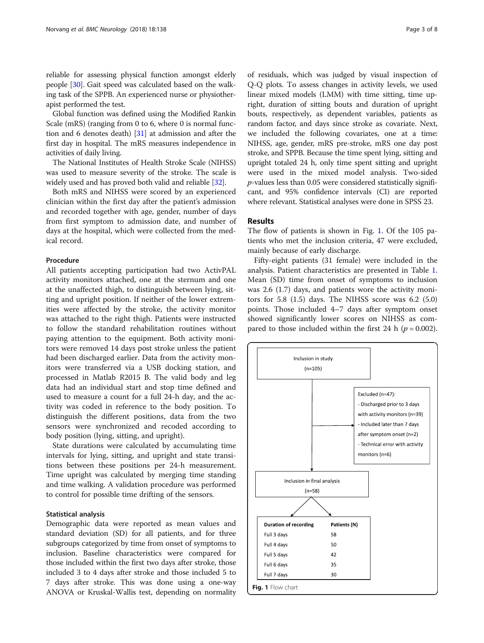reliable for assessing physical function amongst elderly people [\[30\]](#page-7-0). Gait speed was calculated based on the walking task of the SPPB. An experienced nurse or physiotherapist performed the test.

Global function was defined using the Modified Rankin Scale (mRS) (ranging from 0 to 6, where 0 is normal function and 6 denotes death) [\[31\]](#page-7-0) at admission and after the first day in hospital. The mRS measures independence in activities of daily living.

The National Institutes of Health Stroke Scale (NIHSS) was used to measure severity of the stroke. The scale is widely used and has proved both valid and reliable [[32](#page-7-0)].

Both mRS and NIHSS were scored by an experienced clinician within the first day after the patient's admission and recorded together with age, gender, number of days from first symptom to admission date, and number of days at the hospital, which were collected from the medical record.

## Procedure

All patients accepting participation had two ActivPAL activity monitors attached, one at the sternum and one at the unaffected thigh, to distinguish between lying, sitting and upright position. If neither of the lower extremities were affected by the stroke, the activity monitor was attached to the right thigh. Patients were instructed to follow the standard rehabilitation routines without paying attention to the equipment. Both activity monitors were removed 14 days post stroke unless the patient had been discharged earlier. Data from the activity monitors were transferred via a USB docking station, and processed in Matlab R2015 B. The valid body and leg data had an individual start and stop time defined and used to measure a count for a full 24-h day, and the activity was coded in reference to the body position. To distinguish the different positions, data from the two sensors were synchronized and recoded according to body position (lying, sitting, and upright).

State durations were calculated by accumulating time intervals for lying, sitting, and upright and state transitions between these positions per 24-h measurement. Time upright was calculated by merging time standing and time walking. A validation procedure was performed to control for possible time drifting of the sensors.

## Statistical analysis

Demographic data were reported as mean values and standard deviation (SD) for all patients, and for three subgroups categorized by time from onset of symptoms to inclusion. Baseline characteristics were compared for those included within the first two days after stroke, those included 3 to 4 days after stroke and those included 5 to 7 days after stroke. This was done using a one-way ANOVA or Kruskal-Wallis test, depending on normality of residuals, which was judged by visual inspection of Q-Q plots. To assess changes in activity levels, we used linear mixed models (LMM) with time sitting, time upright, duration of sitting bouts and duration of upright bouts, respectively, as dependent variables, patients as random factor, and days since stroke as covariate. Next, we included the following covariates, one at a time: NIHSS, age, gender, mRS pre-stroke, mRS one day post stroke, and SPPB. Because the time spent lying, sitting and upright totaled 24 h, only time spent sitting and upright were used in the mixed model analysis. Two-sided  $p$ -values less than 0.05 were considered statistically significant, and 95% confidence intervals (CI) are reported where relevant. Statistical analyses were done in SPSS 23.

## Results

The flow of patients is shown in Fig. 1. Of the 105 patients who met the inclusion criteria, 47 were excluded, mainly because of early discharge.

Fifty-eight patients (31 female) were included in the analysis. Patient characteristics are presented in Table [1](#page-3-0). Mean (SD) time from onset of symptoms to inclusion was 2.6 (1.7) days, and patients wore the activity monitors for 5.8  $(1.5)$  days. The NIHSS score was 6.2  $(5.0)$ points. Those included 4–7 days after symptom onset showed significantly lower scores on NIHSS as compared to those included within the first 24 h ( $p = 0.002$ ).

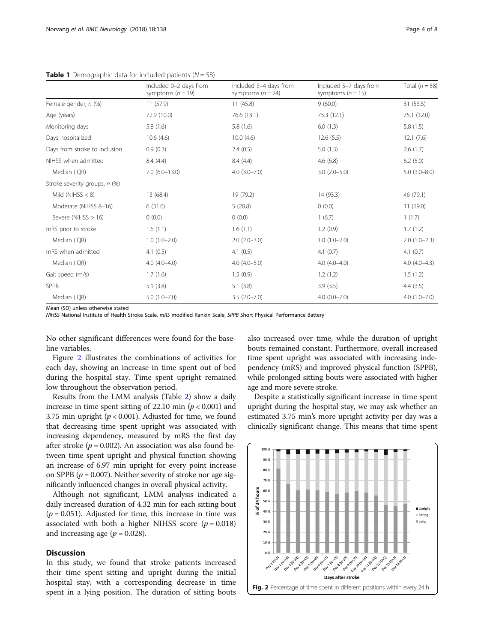|                               | Included 0-2 days from<br>symptoms $(n = 19)$ | Included 3-4 days from<br>symptoms $(n = 24)$ | Included 5-7 days from<br>symptoms $(n = 15)$ | Total ( $n = 58$ ) |
|-------------------------------|-----------------------------------------------|-----------------------------------------------|-----------------------------------------------|--------------------|
| Female gender, n (%)          | 11(57.9)                                      | 11(45.8)                                      | 9(60.0)                                       | 31(53.5)           |
| Age (years)                   | 72.9 (10.0)                                   | 76.6 (13.1)                                   | 75.3 (12.1)                                   | 75.1 (12.0)        |
| Monitoring days               | 5.8(1.6)                                      | 5.8(1.6)                                      | 6.0(1.3)                                      | 5.8(1.5)           |
| Days hospitalized             | 10.6(4.6)                                     | 10.0(4.6)                                     | 12.6(5.5)                                     | 12.1(7.6)          |
| Days from stroke to inclusion | 0.9(0.3)                                      | 2.4(0.5)                                      | 5.0(1.3)                                      | 2.6(1.7)           |
| NIHSS when admitted           | 8.4(4.4)                                      | 8.4(4.4)                                      | 4.6(6.8)                                      | 6.2(5.0)           |
| Median (IQR)                  | $7.0$ (6.0-13.0)                              | $4.0$ $(3.0 - 7.0)$                           | $3.0(2.0-5.0)$                                | $5.0(3.0-8.0)$     |
| Stroke severity groups, n (%) |                                               |                                               |                                               |                    |
| Mild (NIHSS $<$ 8)            | 13 (68.4)                                     | 19 (79.2)                                     | 14 (93.3)                                     | 46 (79.1)          |
| Moderate (NIHSS 8-16)         | 6(31.6)                                       | 5(20.8)                                       | 0(0.0)                                        | 11(19.0)           |
| Severe (NIHSS $> 16$ )        | 0(0.0)                                        | 0(0.0)                                        | 1(6.7)                                        | 1(1.7)             |
| mRS prior to stroke           | 1.6(1.1)                                      | 1.6(1.1)                                      | 1.2(0.9)                                      | 1.7(1.2)           |
| Median (IQR)                  | $1.0(1.0-2.0)$                                | $2.0(2.0-3.0)$                                | $1.0(1.0-2.0)$                                | $2.0(1.0-2.3)$     |
| mRS when admitted             | 4.1(0.5)                                      | 4.1(0.5)                                      | 4.1(0.7)                                      | 4.1(0.7)           |
| Median (IQR)                  | $4.0(4.0-4.0)$                                | $4.0(4.0-5.0)$                                | $4.0(4.0-4.0)$                                | $4.0(4.0-4.3)$     |
| Gait speed (m/s)              | 1.7(1.6)                                      | 1.5(0.9)                                      | 1.2(1.2)                                      | 1.5(1.2)           |
| SPPB                          | 5.1(3.8)                                      | 5.1(3.8)                                      | 3.9(3.5)                                      | 4.4(3.5)           |
| Median (IQR)                  | $5.0(1.0 - 7.0)$                              | $3.5(2.0 - 7.0)$                              | $4.0(0.0 - 7.0)$                              | $4.0(1.0 - 7.0)$   |

<span id="page-3-0"></span>**Table 1** Demographic data for included patients ( $N = 58$ )

Mean (SD) unless otherwise stated

NIHSS National Institute of Health Stroke Scale, mRS modified Rankin Scale, SPPB Short Physical Performance Battery

No other significant differences were found for the baseline variables.

Figure 2 illustrates the combinations of activities for each day, showing an increase in time spent out of bed during the hospital stay. Time spent upright remained low throughout the observation period.

Results from the LMM analysis (Table [2](#page-4-0)) show a daily increase in time spent sitting of 22.10 min ( $p < 0.001$ ) and 3.75 min upright ( $p < 0.001$ ). Adjusted for time, we found that decreasing time spent upright was associated with increasing dependency, measured by mRS the first day after stroke ( $p = 0.002$ ). An association was also found between time spent upright and physical function showing an increase of 6.97 min upright for every point increase on SPPB ( $p = 0.007$ ). Neither severity of stroke nor age significantly influenced changes in overall physical activity.

Although not significant, LMM analysis indicated a daily increased duration of 4.32 min for each sitting bout  $(p = 0.051)$ . Adjusted for time, this increase in time was associated with both a higher NIHSS score  $(p = 0.018)$ and increasing age ( $p = 0.028$ ).

## **Discussion**

In this study, we found that stroke patients increased their time spent sitting and upright during the initial hospital stay, with a corresponding decrease in time spent in a lying position. The duration of sitting bouts also increased over time, while the duration of upright bouts remained constant. Furthermore, overall increased time spent upright was associated with increasing independency (mRS) and improved physical function (SPPB), while prolonged sitting bouts were associated with higher age and more severe stroke.

Despite a statistically significant increase in time spent upright during the hospital stay, we may ask whether an estimated 3.75 min's more upright activity per day was a clinically significant change. This means that time spent

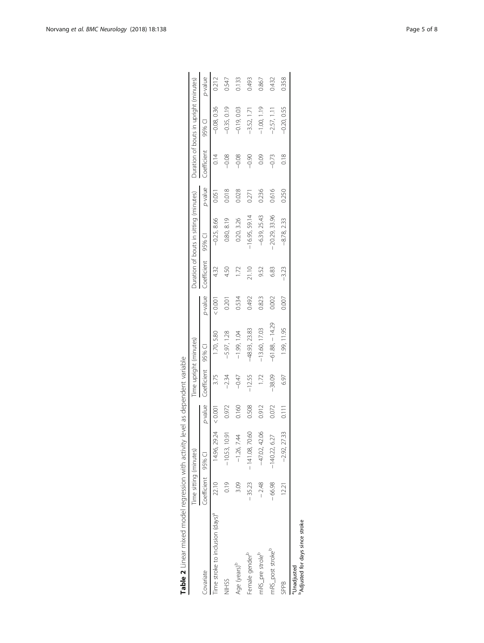|                                              | Time sitting (minutes) |                 |         |                    | lime upright (minutes) |         |                    | Duration of bouts in sitting (minutes) |         |             | Duration of bouts in upright (minutes) |         |
|----------------------------------------------|------------------------|-----------------|---------|--------------------|------------------------|---------|--------------------|----------------------------------------|---------|-------------|----------------------------------------|---------|
| <b>Covariate</b>                             | Coefficient 95% CI     |                 | p-value | Coefficient 95% CI |                        | p-value | Coefficient 95% CI |                                        | p-value | Coefficient | 95% CI                                 | p-value |
| Time stroke to inclusion (days) <sup>a</sup> | 22.10                  | 14.96, 29.24    | < 0.001 | 3.75               | 1.70, 5.80             | (0.001) | 4.32               | $-0.25, 8.66$                          | 0.051   | 0.14        | $-0.08, 0.36$                          | 0.212   |
| SSHIN                                        | 0.19                   | $-10.53, 10.91$ | 0.972   | $-2.34$            | $-5.97, 1.28$          | 0.201   | 4.50               | 0.80, 8.19                             | 0.018   | $-0.08$     | $-0.35, 0.19$                          | 0.547   |
| Age (years) <sup>b</sup>                     | 3.09                   | $-1.26, 7.44$   | 0.160   | $-0.47$            | $-1.99, 1.04$          | 0.534   | 1.72               | 0.20, 3.26                             | 0.028   | $-0.08$     | $-0.19, 0.03$                          | 0.133   |
| Female gender <sup>p</sup>                   | $-35.23$               | $-141.08,70.60$ | 0.508   | $-12.55$           | -48.93, 23.83          | 0.492   | 21.10              | $-16.95, 59.14$                        | 0.271   | $-0.90$     | $-3.52, 1.71$                          | 0.493   |
| mRS_pre strole <sup>b</sup>                  | $-2.48$                | $-47.02, 42.06$ | 0.912   | 1.72               | $-13.60, 17.03$        | 0.823   | 9.52               | $-6.39, 25.43$                         | 0.236   | 0.09        | $-1.00, 1.19$                          | 0.867   |
| mRS_post stroke <sup>b</sup>                 | $-66.98$               | $-140.22, 6.27$ | 0.072   | $-38.09$           | $-61.88, -14.29$       | 0.002   | 6.83               | 20.29, 33.96                           | 0.616   | $-0.73$     | $-2.57, 1.11$                          | 0.432   |
| SPPB                                         | 12.21                  | $-2.92, 27.33$  | 0.111   | 6.97               | 1.99, 11.95            | 0.007   | $-3.23$            | $-8.78, 2.33$                          | 0.250   | 0.18        | $-0.20, 0.55$                          | 0.358   |
| Adjusted for days since stroke<br>Unadjusted |                        |                 |         |                    |                        |         |                    |                                        |         |             |                                        |         |

| $\frac{1}{6}$<br>l                                                                                                                                                                                                                            |  |
|-----------------------------------------------------------------------------------------------------------------------------------------------------------------------------------------------------------------------------------------------|--|
| it what depend to all available this will avail and bound to a the contract of the second to all available to contract the contract of the contract of the contract of the contract of the contract of the contract of the con<br>)<br>)<br>) |  |
| )<br>}<br>}                                                                                                                                                                                                                                   |  |
| ļ                                                                                                                                                                                                                                             |  |
|                                                                                                                                                                                                                                               |  |
| ł                                                                                                                                                                                                                                             |  |
| )<br>)<br>リフリーリ                                                                                                                                                                                                                               |  |
| j                                                                                                                                                                                                                                             |  |
|                                                                                                                                                                                                                                               |  |
| うりこコ 目っ                                                                                                                                                                                                                                       |  |
|                                                                                                                                                                                                                                               |  |
| ı                                                                                                                                                                                                                                             |  |

<span id="page-4-0"></span>Norvang et al. BMC Neurology (2018) 18:138 Page 5 of 8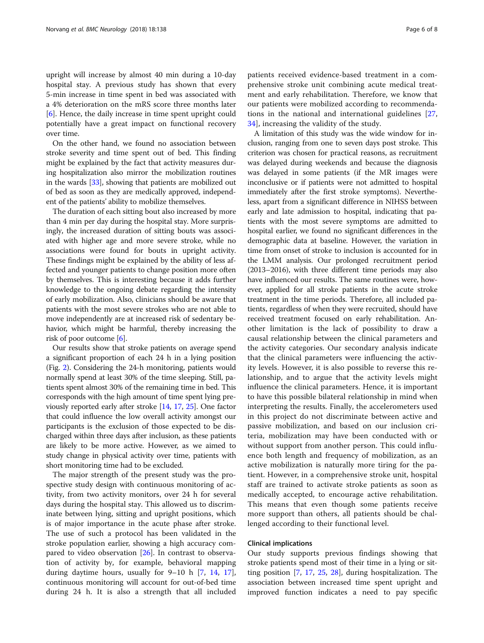upright will increase by almost 40 min during a 10-day hospital stay. A previous study has shown that every 5-min increase in time spent in bed was associated with a 4% deterioration on the mRS score three months later [[6\]](#page-6-0). Hence, the daily increase in time spent upright could potentially have a great impact on functional recovery over time.

On the other hand, we found no association between stroke severity and time spent out of bed. This finding might be explained by the fact that activity measures during hospitalization also mirror the mobilization routines in the wards [[33](#page-7-0)], showing that patients are mobilized out of bed as soon as they are medically approved, independent of the patients' ability to mobilize themselves.

The duration of each sitting bout also increased by more than 4 min per day during the hospital stay. More surprisingly, the increased duration of sitting bouts was associated with higher age and more severe stroke, while no associations were found for bouts in upright activity. These findings might be explained by the ability of less affected and younger patients to change position more often by themselves. This is interesting because it adds further knowledge to the ongoing debate regarding the intensity of early mobilization. Also, clinicians should be aware that patients with the most severe strokes who are not able to move independently are at increased risk of sedentary behavior, which might be harmful, thereby increasing the risk of poor outcome [[6](#page-6-0)].

Our results show that stroke patients on average spend a significant proportion of each 24 h in a lying position (Fig. [2](#page-3-0)). Considering the 24-h monitoring, patients would normally spend at least 30% of the time sleeping. Still, patients spent almost 30% of the remaining time in bed. This corresponds with the high amount of time spent lying previously reported early after stroke [\[14,](#page-7-0) [17,](#page-7-0) [25\]](#page-7-0). One factor that could influence the low overall activity amongst our participants is the exclusion of those expected to be discharged within three days after inclusion, as these patients are likely to be more active. However, as we aimed to study change in physical activity over time, patients with short monitoring time had to be excluded.

The major strength of the present study was the prospective study design with continuous monitoring of activity, from two activity monitors, over 24 h for several days during the hospital stay. This allowed us to discriminate between lying, sitting and upright positions, which is of major importance in the acute phase after stroke. The use of such a protocol has been validated in the stroke population earlier, showing a high accuracy compared to video observation [\[26](#page-7-0)]. In contrast to observation of activity by, for example, behavioral mapping during daytime hours, usually for 9–10 h [\[7](#page-6-0), [14](#page-7-0), [17](#page-7-0)], continuous monitoring will account for out-of-bed time during 24 h. It is also a strength that all included

patients received evidence-based treatment in a comprehensive stroke unit combining acute medical treatment and early rehabilitation. Therefore, we know that our patients were mobilized according to recommendations in the national and international guidelines [\[27](#page-7-0), [34\]](#page-7-0), increasing the validity of the study.

A limitation of this study was the wide window for inclusion, ranging from one to seven days post stroke. This criterion was chosen for practical reasons, as recruitment was delayed during weekends and because the diagnosis was delayed in some patients (if the MR images were inconclusive or if patients were not admitted to hospital immediately after the first stroke symptoms). Nevertheless, apart from a significant difference in NIHSS between early and late admission to hospital, indicating that patients with the most severe symptoms are admitted to hospital earlier, we found no significant differences in the demographic data at baseline. However, the variation in time from onset of stroke to inclusion is accounted for in the LMM analysis. Our prolonged recruitment period (2013–2016), with three different time periods may also have influenced our results. The same routines were, however, applied for all stroke patients in the acute stroke treatment in the time periods. Therefore, all included patients, regardless of when they were recruited, should have received treatment focused on early rehabilitation. Another limitation is the lack of possibility to draw a causal relationship between the clinical parameters and the activity categories. Our secondary analysis indicate that the clinical parameters were influencing the activity levels. However, it is also possible to reverse this relationship, and to argue that the activity levels might influence the clinical parameters. Hence, it is important to have this possible bilateral relationship in mind when interpreting the results. Finally, the accelerometers used in this project do not discriminate between active and passive mobilization, and based on our inclusion criteria, mobilization may have been conducted with or without support from another person. This could influence both length and frequency of mobilization, as an active mobilization is naturally more tiring for the patient. However, in a comprehensive stroke unit, hospital staff are trained to activate stroke patients as soon as medically accepted, to encourage active rehabilitation. This means that even though some patients receive more support than others, all patients should be challenged according to their functional level.

## Clinical implications

Our study supports previous findings showing that stroke patients spend most of their time in a lying or sitting position [\[7](#page-6-0), [17](#page-7-0), [25,](#page-7-0) [28\]](#page-7-0), during hospitalization. The association between increased time spent upright and improved function indicates a need to pay specific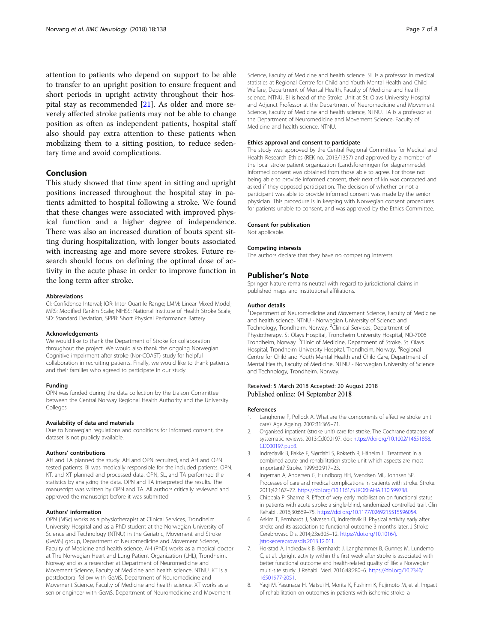<span id="page-6-0"></span>attention to patients who depend on support to be able to transfer to an upright position to ensure frequent and short periods in upright activity throughout their hospital stay as recommended [\[21\]](#page-7-0). As older and more severely affected stroke patients may not be able to change position as often as independent patients, hospital staff also should pay extra attention to these patients when mobilizing them to a sitting position, to reduce sedentary time and avoid complications.

## Conclusion

This study showed that time spent in sitting and upright positions increased throughout the hospital stay in patients admitted to hospital following a stroke. We found that these changes were associated with improved physical function and a higher degree of independence. There was also an increased duration of bouts spent sitting during hospitalization, with longer bouts associated with increasing age and more severe strokes. Future research should focus on defining the optimal dose of activity in the acute phase in order to improve function in the long term after stroke.

#### Abbreviations

CI: Confidence Interval; IQR: Inter Quartile Range; LMM: Linear Mixed Model; MRS: Modified Rankin Scale; NIHSS: National Institute of Health Stroke Scale; SD: Standard Deviation; SPPB: Short Physical Performance Battery

#### Acknowledgements

We would like to thank the Department of Stroke for collaboration throughout the project. We would also thank the ongoing Norwegian Cognitive impairment after stroke (Nor-COAST) study for helpful collaboration in recruiting patients. Finally, we would like to thank patients and their families who agreed to participate in our study.

#### Funding

OPN was funded during the data collection by the Liaison Committee between the Central Norway Regional Health Authority and the University Colleges.

#### Availability of data and materials

Due to Norwegian regulations and conditions for informed consent, the dataset is not publicly available.

#### Authors' contributions

AH and TA planned the study. AH and OPN recruited, and AH and OPN tested patients. BI was medically responsible for the included patients. OPN, KT, and XT planned and processed data. OPN, SL, and TA performed the statistics by analyzing the data. OPN and TA interpreted the results. The manuscript was written by OPN and TA. All authors critically reviewed and approved the manuscript before it was submitted.

#### Authors' information

OPN (MSc) works as a physiotherapist at Clinical Services, Trondheim University Hospital and as a PhD student at the Norwegian University of Science and Technology (NTNU) in the Geriatric, Movement and Stroke (GeMS) group, Department of Neuromedicine and Movement Science, Faculty of Medicine and health science. AH (PhD) works as a medical doctor at The Norwegian Heart and Lung Patient Organization (LHL), Trondheim, Norway and as a researcher at Department of Neuromedicine and Movement Science, Faculty of Medicine and health science, NTNU. KT is a postdoctoral fellow with GeMS, Department of Neuromedicine and Movement Science, Faculty of Medicine and health science. XT works as a senior engineer with GeMS, Department of Neuromedicine and Movement

Science, Faculty of Medicine and health science. SL is a professor in medical statistics at Regional Centre for Child and Youth Mental Health and Child Welfare, Department of Mental Health, Faculty of Medicine and health science, NTNU. BI is head of the Stroke Unit at St. Olavs University Hospital and Adjunct Professor at the Department of Neuromedicine and Movement Science, Faculty of Medicine and health science, NTNU. TA is a professor at the Department of Neuromedicine and Movement Science, Faculty of Medicine and health science, NTNU.

#### Ethics approval and consent to participate

The study was approved by the Central Regional Committee for Medical and Health Research Ethics (REK no. 2013/1357) and approved by a member of the local stroke patient organization (Landsforeningen for slagrammede). Informed consent was obtained from those able to agree. For those not being able to provide informed consent, their next of kin was contacted and asked if they opposed participation. The decision of whether or not a participant was able to provide informed consent was made by the senior physician. This procedure is in keeping with Norwegian consent procedures for patients unable to consent, and was approved by the Ethics Committee.

#### Consent for publication

Not applicable.

#### Competing interests

The authors declare that they have no competing interests.

#### Publisher's Note

Springer Nature remains neutral with regard to jurisdictional claims in published maps and institutional affiliations.

#### Author details

<sup>1</sup>Department of Neuromedicine and Movement Science, Faculty of Medicine and health science, NTNU - Norwegian University of Science and Technology, Trondheim, Norway. <sup>2</sup>Clinical Services, Department of Physiotherapy, St Olavs Hospital, Trondheim University Hospital, NO-7006 Trondheim, Norway. <sup>3</sup>Clinic of Medicine, Department of Stroke, St. Olavs Hospital, Trondheim University Hospital, Trondheim, Norway. <sup>4</sup>Regional Centre for Child and Youth Mental Health and Child Care, Department of Mental Health, Faculty of Medicine, NTNU - Norwegian University of Science and Technology, Trondheim, Norway.

#### Received: 5 March 2018 Accepted: 20 August 2018 Published online: 04 September 2018

#### References

- 1. Langhorne P, Pollock A. What are the components of effective stroke unit care? Age Ageing. 2002;31:365–71.
- 2. Organised inpatient (stroke unit) care for stroke. The Cochrane database of systematic reviews. 2013:Cd000197. doi: [https://doi.org/10.1002/14651858.](https://doi.org/10.1002/14651858.CD000197.pub3) [CD000197.pub3.](https://doi.org/10.1002/14651858.CD000197.pub3)
- 3. Indredavik B, Bakke F, Slørdahl S, Rokseth R, Håheim L. Treatment in a combined acute and rehabilitation stroke unit which aspects are most important? Stroke. 1999;30:917–23.
- 4. Ingeman A, Andersen G, Hundborg HH, Svendsen ML, Johnsen SP. Processes of care and medical complications in patients with stroke. Stroke. 2011;42:167–72. <https://doi.org/10.1161/STROKEAHA.110.599738>.
- 5. Chippala P, Sharma R. Effect of very early mobilisation on functional status in patients with acute stroke: a single-blind, randomized controlled trail. Clin Rehabil. 2016;30:669–75. <https://doi.org/10.1177/0269215515596054>.
- 6. Askim T, Bernhardt J, Salvesen O, Indredavik B. Physical activity early after stroke and its association to functional outcome 3 months later. J Stroke Cerebrovasc Dis. 2014;23:e305–12. [https://doi.org/10.1016/j.](https://doi.org/10.1016/j.jstrokecerebrovasdis.2013.12.011) [jstrokecerebrovasdis.2013.12.011](https://doi.org/10.1016/j.jstrokecerebrovasdis.2013.12.011).
- 7. Hokstad A, Indredavik B, Bernhardt J, Langhammer B, Gunnes M, Lundemo C, et al. Upright activity within the first week after stroke is associated with better functional outcome and health-related quality of life: a Norwegian multi-site study. J Rehabil Med. 2016;48:280–6. [https://doi.org/10.2340/](https://doi.org/10.2340/16501977-2051) [16501977-2051.](https://doi.org/10.2340/16501977-2051)
- 8. Yagi M, Yasunaga H, Matsui H, Morita K, Fushimi K, Fujimoto M, et al. Impact of rehabilitation on outcomes in patients with ischemic stroke: a